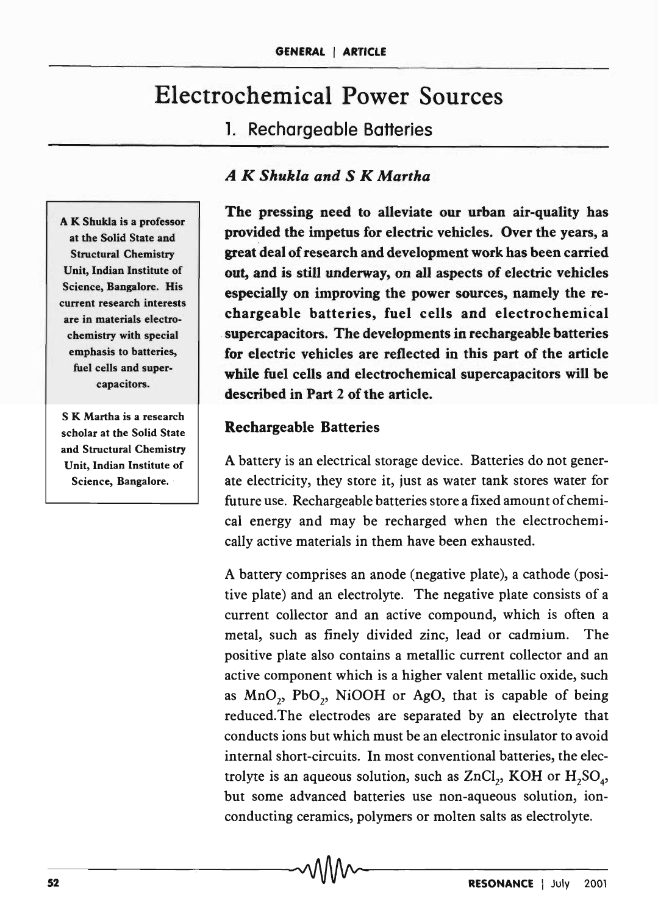# Electrochemical Power Sources

1. Rechargeable Batteries

### *A K Shukla and* S *K Martha*

A K Shukla is a professor at the Solid State and Structural Chemistry Unit, Indian Institute of Science, Bangalore. His current research interests are in materials electrochemistry with special emphasis to batteries, fuel cells and supercapacitors.

S K Martha is a research scholar at the Solid State and Structural Chemistry Unit, Indian Institute of Science, Bangalore.

The pressing need to alleviate our urban air-quality has provided the impetus for electric vehicles. Over the years, a great deal of research and development work has been carried out, and is still underway, on all aspects of electric vehicles especially on improving the power sources, namely the rechargeable batteries, fuel cells and electrochemical supercapacitors. The developments in rechargeable batteries for electric vehicles are reflected in this part of the article while fuel cells and electrochemical supercapacitors will be described in Part 2 of the article.

#### Rechargeable Batteries

A battery is an electrical storage device. Batteries do not generate electricity, they store it, just as water tank stores water for future use. Rechargeable batteries store a fixed amount of chemical energy and may be recharged when the electrochemically active materials in them have been exhausted.

A battery comprises an anode (negative plate), a cathode (positive plate) and an electrolyte. The negative plate consists of a current collector and an active compound, which is often a metal, such as finely divided zinc, lead or cadmium. The positive plate also contains a metallic current collector and an active component which is a higher valent metallic oxide, such as  $MnO_2$ ,  $PbO_2$ , NiOOH or AgO, that is capable of being reduced. The electrodes are separated by an electrolyte that conducts ions but which must be an electronic insulator to avoid internal short-circuits. In most conventional batteries, the electrolyte is an aqueous solution, such as  $ZnCl_2$ , KOH or  $H_2SO_4$ , but some advanced batteries use non-aqueous solution, ionconducting ceramics, polymers or molten salts as electrolyte.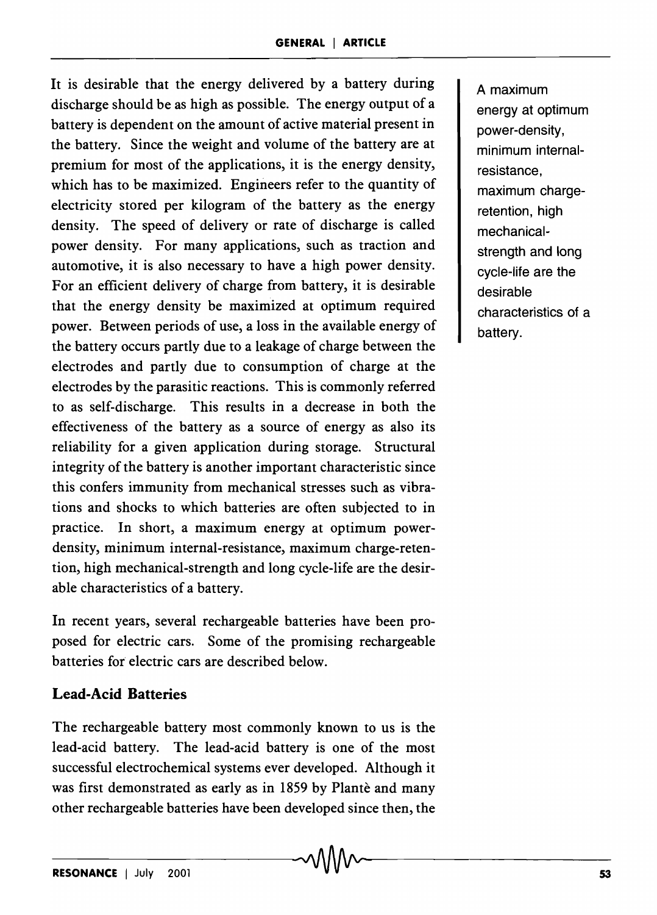It is desirable that the energy delivered by a battery during discharge should be as high as possible. The energy output of a battery is dependent on the amount of active material present in the battery. Since the weight and volume of the battery are at premium for most of the applications, it is the energy density, which has to be maximized. Engineers refer to the quantity of electricity stored per kilogram of the battery as the energy density. The speed of delivery or rate of discharge is called power density. For many applications, such as traction and automotive, it is also necessary to have a high power density. For an efficient delivery of charge from battery, it is desirable that the energy density be maximized at optimum required power. Between periods of use, a loss in the available energy of the battery occurs partly due to a leakage of charge between the electrodes and partly due to consumption of charge at the electrodes by the parasitic reactions. This is commonly referred to as self-discharge. This results in a decrease in both the effectiveness of the battery as a source of energy as also its reliability for a given application during storage. Structural integrity of the battery is another important characteristic since this confers immunity from mechanical stresses such as vibrations and shocks to which batteries are often subjected to in practice. In short, a maximum energy at optimum powerdensity, minimum internal-resistance, maximum charge-retention, high mechanical-strength and long cycle-life are the desirable characteristics of a battery.

In recent years, several rechargeable batteries have been proposed for electric cars. Some of the promising rechargeable batteries fot electric cars are described below.

#### Lead-Acid Batteries

The rechargeable battery most commonly known to us is the lead-acid battery. The lead-acid battery is one of the most successful electrochemical systems ever developed. Although it was first demonstrated as early as in 1859 by Plante and many other rechargeable batteries have been developed since then, the

A maximum energy at optimum power-density, minimum internalresistance, maximum chargeretention, high mechanicalstrength and long cycle-life are the desirable characteristics of a battery.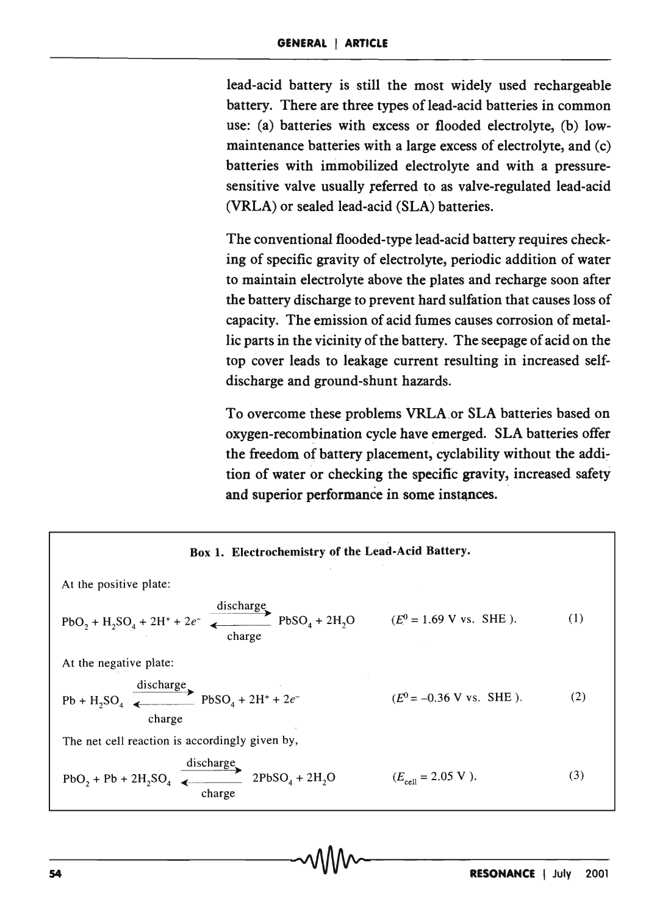lead-acid battery is still the most widely used rechargeable battery. There are three types of lead-acid batteries in common use: (a) batteries with excess or flooded electrolyte, (b) lowmaintenance batteries with a large excess of electrolyte, and (c) batteries with immobilized electrolyte and with a pressuresensitive valve usually referred to as valve-regulated lead-acid (VRLA) or sealed lead-acid (SLA) batteries.

The conventional flooded-type lead-acid battery requires checking of specific gravity of electrolyte, periodic addition of water to maintain electrolyte above the plates and recharge soon after the battery discharge to prevent hard sulfation that causes loss of capacity. The emission of acid fumes causes corrosion of metallic parts in the vicinity of the battery. The seepage of acid on the top cover leads to leakage current resulting in increased selfdischarge and ground-shunt hazards.

To overcome these problems VRLA or SLA batteries based on oxygen-recombination cycle have emerged. SLA batteries offer the freedom of battery placement, cyclability without the addi: tion of water or checking the specific gravity, increased safety and superior performance in some instances.

**Box 1.** Electrochemistry of the Lead-Acid Battery.  
\nAt the positive plate:  
\n
$$
PbO_2 + H_2SO_4 + 2H^+ + 2e^ \xrightarrow{\text{discharge}}
$$
  $PbSO_4 + 2H_2O$   $(E^0 = 1.69 \text{ V vs. SHE})$ . (1)  
\nAt the negative plate:  
\n $Pb + H_2SO_4$   $\xrightarrow{\text{discharge}}$   $PbSO_4 + 2H^+ + 2e^ (E^0 = -0.36 \text{ V vs. SHE})$ . (2)  
\ncharge  
\nThe net cell reaction is accordingly given by,  
\n $PbO_2 + Pb + 2H_2SO_4$   $\xrightarrow{\text{discharge}}$   $2PbSO_4 + 2H_2O$   $(E_{cell} = 2.05 \text{ V})$ . (3)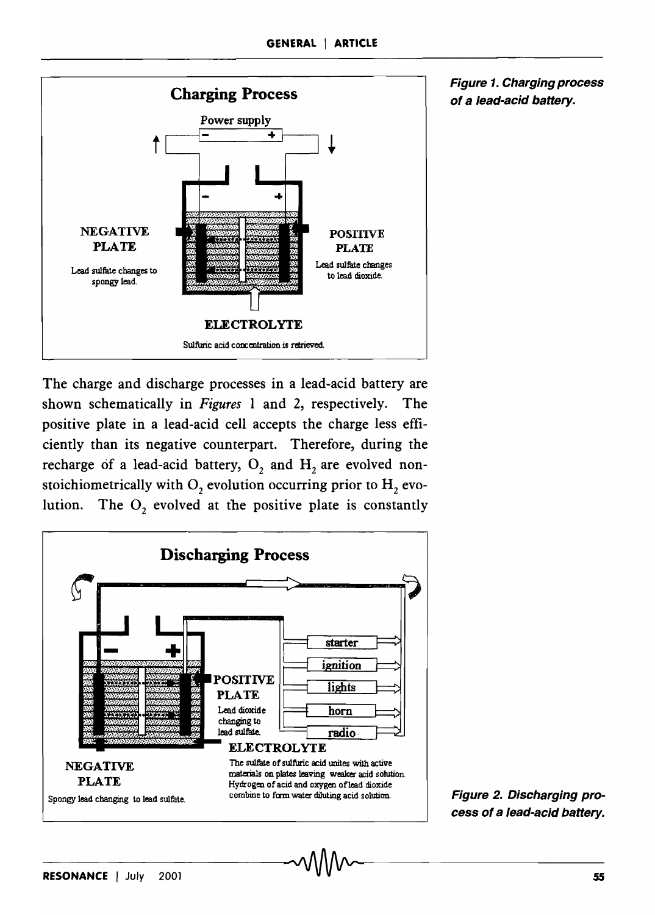

Figure 1. Charging process of a lead-acid battery.

The charge and discharge processes in a lead-acid battery are shown schematically in *Figures* 1 and 2, respectively. The positive plate in a lead-acid cell accepts the charge less efficiently than its negative counterpart. Therefore, during the recharge of a lead-acid battery,  $O_2$  and  $H_2$  are evolved nonstoichiometrically with  $O_2$  evolution occurring prior to  $H_2$  evolution. The O<sub>2</sub> evolved at the positive plate is constantly



Figure 2. Discharging process of a lead-acid battery.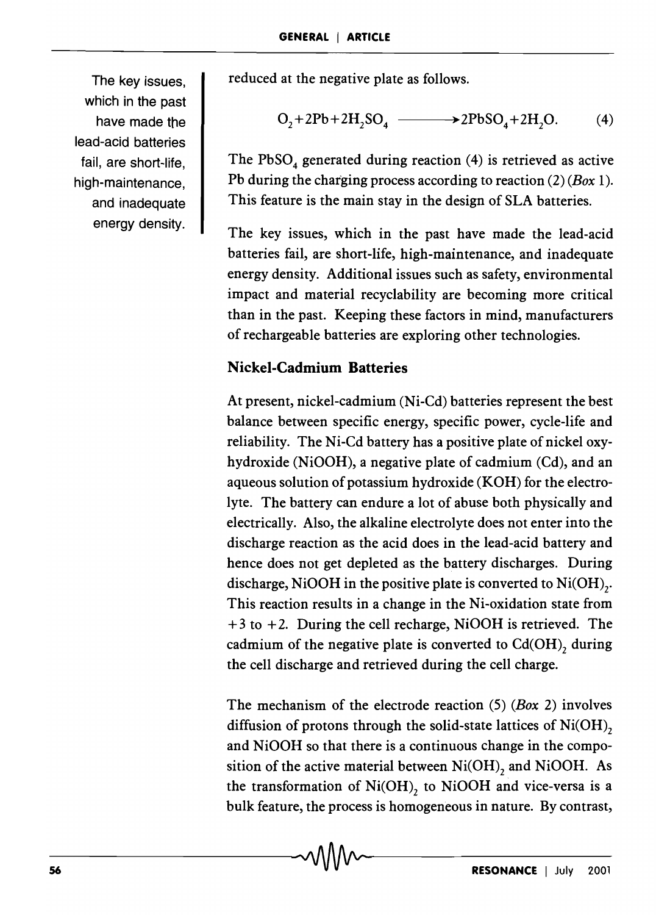The key issues, which in the past have made the lead-acid batteries fail, are short-life, high-maintenance, and inadequate energy density.

reduced at the negative plate as follows.

$$
O_2 + 2Pb + 2H_2SO_4 \longrightarrow 2PbSO_4 + 2H_2O. \tag{4}
$$

The  $PbSO<sub>4</sub>$  generated during reaction (4) is retrieved as active Pb during the charging process according to reaction (2) *(Box* 1). This feature is the main stay in the design of SLA batteries.

The key issues, which in the past have made the lead-acid batteries fail, are short-life, high-maintenance, and inadequate energy density. Additional issues such as safety, environmental impact and material recyclability are becoming more critical than in the past. Keeping these factors in mind, manufacturers of rechargeable batteries are exploring other technologies.

#### **Nickel-Cadmium Batteries**

At present, nickel-cadmium (Ni-Cd) batteries represent the best balance between specific energy, specific power, cycle-life and reliability. The Ni-Cd battery has a positive plate of nickel oxyhydroxide (NiOOH), a negative plate of cadmium (Cd), and an aqueous solution of potassium hydroxide (KOH) for the electrolyte. The battery can endure a lot of abuse both physically and electrically. Also, the alkaline electrolyte does not enter into the discharge reaction as the acid does in the lead-acid battery and hence does not get depleted as the battery discharges. During discharge, NiOOH in the positive plate is converted to  $Ni(OH)_{2}$ . This reaction results in a change in the Ni-oxidation state from  $+3$  to  $+2$ . During the cell recharge, NiOOH is retrieved. The cadmium of the negative plate is converted to  $Cd(OH)$ , during the cell discharge and retrieved during the cell charge.

The mechanism of the electrode reaction (5) *(Box* 2) involves diffusion of protons through the solid-state lattices of  $Ni(OH)$ , and NiOOH so that there is a continuous change in the composition of the active material between  $Ni(OH)_{2}$  and NiOOH. As the transformation of Ni(OH), to NiOOH and vice-versa is a bulk feature, the process is homogeneous in nature. By contrast,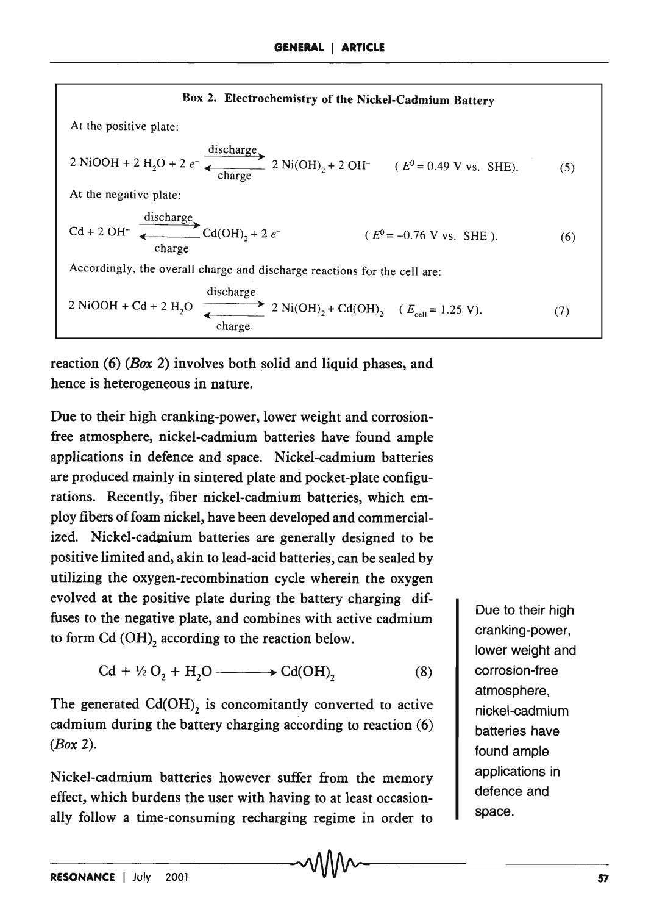#### Box 2. Electrochemistry of the Nickel-Cadmium Battery

At the positive plate:

2 NiOOH + 2 H<sub>2</sub>O + 2 
$$
e^{-}
$$
  $\xrightarrow{\text{discharge}}$  2 Ni(OH)<sub>2</sub> + 2 OH<sup>-</sup> ( $E^{0} = 0.49$  V vs. SHE). (5)

At the negative plate:

Cd + 2 OH<sup>-</sup> 
$$
\xrightarrow{\text{discharge}}
$$
 Cd(OH)<sub>2</sub> + 2 e<sup>-</sup> ( $E^0 = -0.76$  V vs. SHE). (6)

Accordingly, the overall charge and discharge reactions for the cell are:

$$
2 \text{NiOOH} + \text{Cd} + 2 \text{ H}_2\text{O} \xrightarrow{\text{discharge}} 2 \text{Ni(OH)}_2 + \text{Cd(OH)}_2 \quad (E_{\text{cell}} = 1.25 \text{ V}). \tag{7}
$$

reaction (6) *(Box* 2) involves both solid and liquid phases, and hence is heterogeneous in nature.

Due to their high cranking-power, lower weight and corrosionfree atmosphere, nickel-cadmium batteries have found ample applications in defence and space. Nickel-cadmium batteries are produced mainly in sintered plate and pocket-plate configurations. Recently, fiber nickel-cadmium batteries, which employ fibers of foam nickel, have been developed and commercialized. Nickel-cadmium batteries are generally designed to be positive limited and, akin to lead-acid batteries, can be sealed by utilizing the oxygen-recombination cycle wherein the oxygen evolved at the positive plate during the battery charging diffuses to the negative plate, and combines with active cadmium to form  $Cd(OH)$ , according to the reaction below.

$$
Cd + \frac{1}{2}O_2 + H_2O \longrightarrow Cd(OH)_2 \tag{8}
$$

The generated  $Cd(OH)$ <sub>2</sub> is concomitantly converted to active cadmium during the battery charging according to reaction (6) *(Box 2).* 

Nickel-cadmium batteries however suffer from the memory effect, which burdens the user with having to at least occasionally follow a time-consuming recharging regime in order to

Due to their high cranking-power, lower weight and corrosion-free atmosphere, nickel-cadmium batteries have found ample applications in defence and space.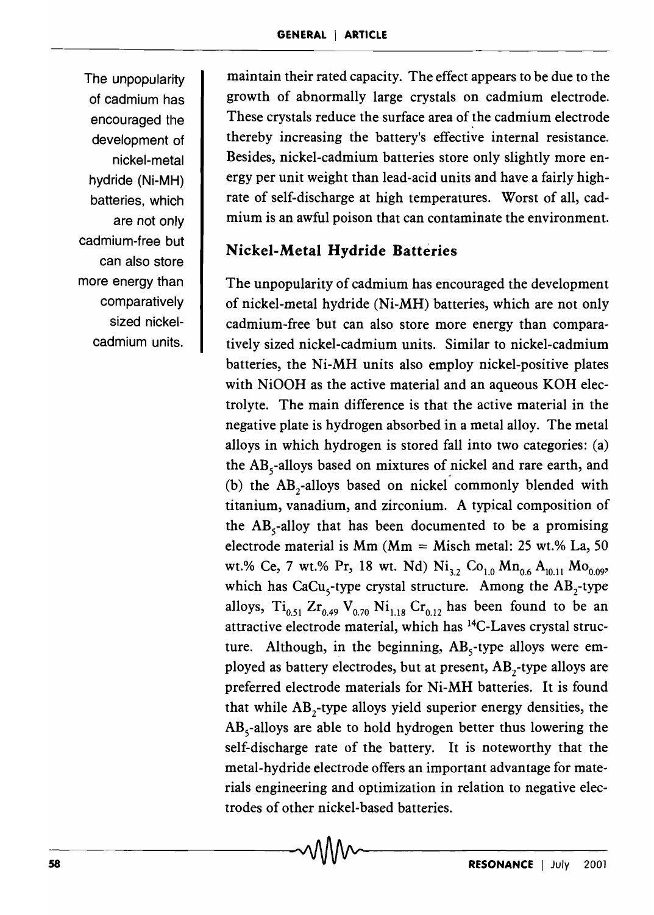The unpopularity of cadmium has encouraged the development of nickel-metal hydride (Ni-MH) batteries, which are not only cadmium-free but can also store more energy than comparatively sized nickelcadmium units.

maintain their rated capacity. The effect appears to be due to the growth of abnormally large crystals on cadmium electrode. These crystals reduce the surface area of the cadmium electrode thereby increasing the battery's effective internal resistance. Besides, nickel-cadmium batteries store only slightly more energy per unit weight than lead-acid units and have a fairly highrate of self-discharge at high temperatures. Worst of all, cadmium is an awful poison that can contaminate the environment.

#### **Nickel-Metal Hydride Batteries**

The unpopularity of cadmium has encouraged the development of nickel-metal hydride (Ni-MH) batteries, which are not only cadmium-free but can also store more energy than comparatively sized nickel-cadmium units. Similar to nickel-cadmium batteries, the Ni-MH units also employ nickel-positive plates with NiOOH as the active material and an aqueous KOH electrolyte. The main difference is that the active material in the negative plate is hydrogen absorbed in a metal alloy. The metal alloys in which hydrogen is stored fall into two categories: (a) the  $AB_{5}$ -alloys based on mixtures of nickel and rare earth, and (b) the  $AB_2$ -alloys based on nickel commonly blended with titanium, vanadium, and zirconium. A typical composition of the  $AB_{5}$ -alloy that has been documented to be a promising electrode material is  $Mm$  ( $Mm = Misch$  metal: 25 wt.% La, 50 wt.% Ce, 7 wt.% Pr, 18 wt. Nd)  $\text{Ni}_{3.2}$  Co<sub>1.0</sub>  $\text{Mn}_{0.6}$  A<sub>10.11</sub> Mo<sub>0.09</sub>, which has CaCu<sub>s</sub>-type crystal structure. Among the  $AB_2$ -type alloys,  $Ti_{0.51} Zr_{0.49} V_{0.70} Ni_{1.18} Cr_{0.12}$  has been found to be an attractive electrode material, which has <sup>14</sup>C-Laves crystal structure. Although, in the beginning,  $AB<sub>5</sub>$ -type alloys were employed as battery electrodes, but at present, AB<sub>2</sub>-type alloys are preferred electrode materials for Ni-MH batteries. It is found that while  $AB_2$ -type alloys yield superior energy densities, the  $AB_{5}$ -alloys are able to hold hydrogen better thus lowering the self-discharge rate of the battery. It is noteworthy that the metal-hydride electrode offers an important advantage for materials engineering and optimization in relation to negative electrodes of other nickel-based batteries.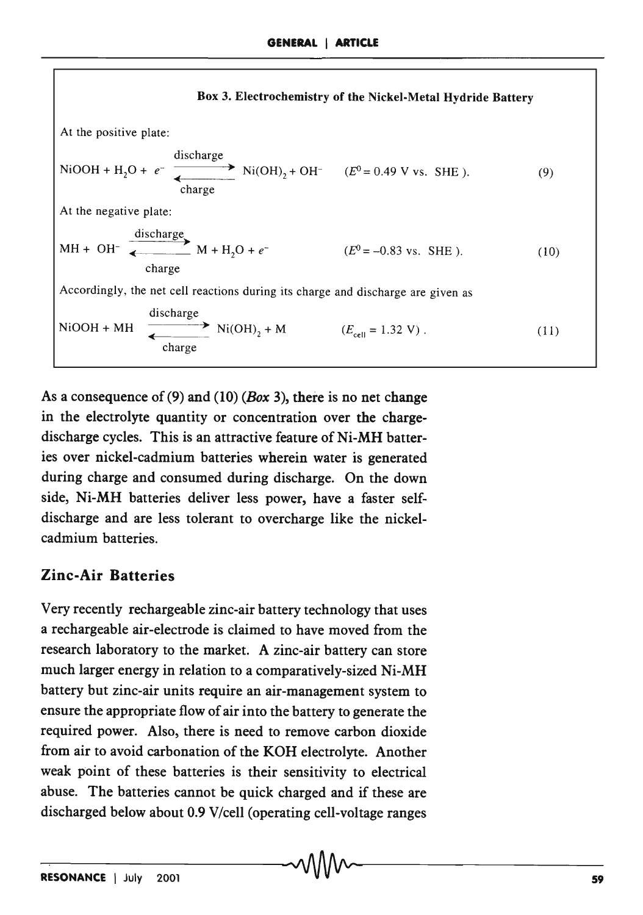

As a consequence of (9) and (10) *(Box* 3), there is no net change in the electrolyte quantity or concentration over the chargedischarge cycles. This is an attractive feature of Ni-MH batteries over nickel-cadmium batteries wherein water is generated during charge and consumed during discharge. On the down side, Ni-MH batteries deliver less power, have a faster selfdischarge and are less tolerant to overcharge like the nickelcadmium batteries.

## Zinc-Air Batteries

Very recently rechargeable zinc-air battery technology that uses a rechargeable air-electrode is claimed to have moved from the research laboratory to the market. A zinc-air battery can store much larger energy in relation to a comparatively-sized Ni-MH battery but zinc-air units require an air-management system to ensure the appropriate flow of air into the battery to generate the required power. Also, there is need to remove carbon dioxide from air to avoid carbonation of the KOH electrolyte. Another weak point of these batteries is their sensitivity to electrical abuse. The batteries cannot be quick charged and if these are discharged below about 0.9 V/cell (operating cell-voltage ranges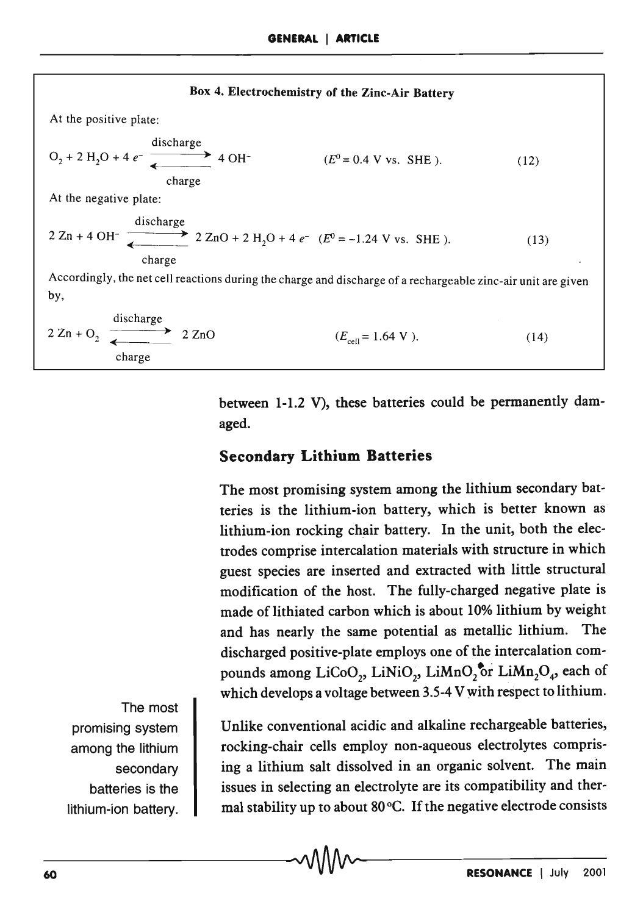#### Box 4. Electrochemistry of the Zinc-Air Battery

At the positive plate:

$$
O_2 + 2 H_2O + 4 e^-
$$
   
charge  
charge  
charge  
(*E*<sup>0</sup> = 0.4 V vs. SHE). (12)

At the negative plate:

$$
2 Zn + 4 OH = \frac{\text{discharge}}{\text{charge}} \quad 2 ZnO + 2 H_2O + 4 e^- \quad (E^0 = -1.24 \text{ V vs. SHE}). \tag{13}
$$

Accordingly, the net cell reactions during the charge and discharge of a rechargeable zinc-air unit are given by,

 $2 Zn + O<sub>2</sub>$ discharge )  $\checkmark$ charge 2 ZnO  $(E_{cell} = 1.64 \text{ V})$ . (14)

> between 1-1.2 V), these batteries could be permanently damaged.

#### Secondary Lithium Batteries

-60-----------------------------~------------------------------

The most promising system among the lithium secondary batteries is the lithium-ion battery, which is better known as lithium-ion rocking chair battery. In the unit, both the electrodes comprise intercalation materials with structure in which guest species are inserted and extracted with little structural modification of the host. The fully-charged negative plate is made of lithiated carbon which is about 10% lithium by weight and has nearly the same potential as metallic lithium. The discharged positive-plate employs one of the intercalation compounds among  $LiCoO<sub>2</sub>$ ,  $LiNiO<sub>2</sub>$ ,  $LiMnO<sub>2</sub>$ <sup>o</sup>or  $LiMn<sub>2</sub>O<sub>4</sub>$ , each of which develops a voltage between 3.5-4 V with respect to lithium.

The most promising system among the lithium secondary batteries is the lithium-ion battery.

Unlike conventional acidic and alkaline rechargeable batteries, rocking-chair cells employ non-aqueous electrolytes comprising a lithium salt dissolved in an organic solvent. The main issues in selecting an electrolyte are its compatibility and thermal stability up to about 80°C. If the negative electrode consists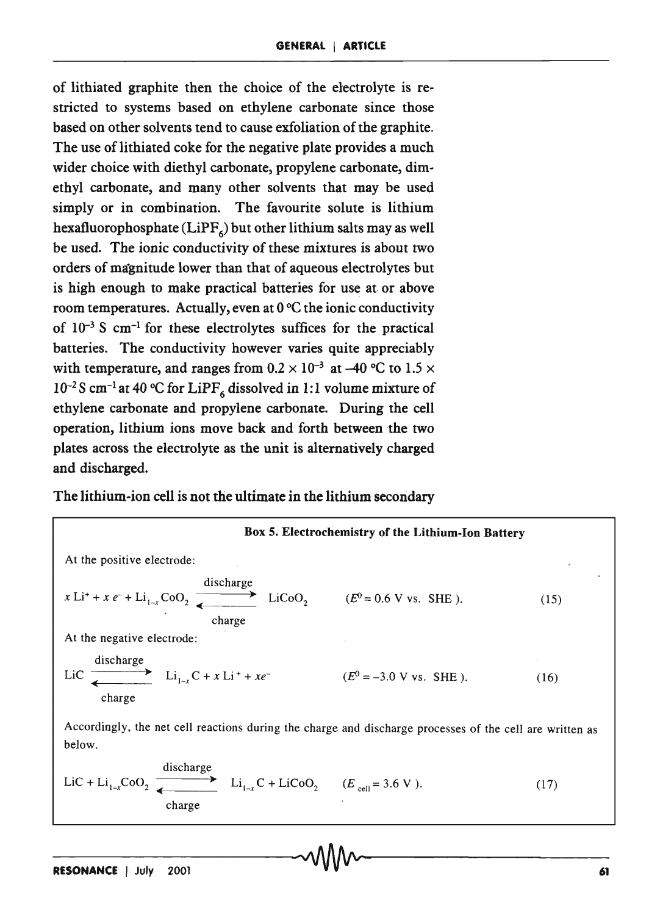of lithiated graphite then the choice of the electrolyte is restricted to systems based on ethylene carbonate since those based on other solvents tend to cause exfoliation of the graphite. The use of lithiated coke for the negative plate provides a much wider choice with diethyl carbonate, propylene carbonate, dimethyl carbonate, and many other solvents that may be used simply or in combination. The favourite solute is lithium hexafluorophosphate  $(LiPF_6)$  but other lithium salts may as well be used. The ionic conductivity of these mixtures is about two orders of ma'gnitude lower than that of aqueous electrolytes but is high enough to make practical batteries for use at or above room temperatures. Actually, even at  $0<sup>o</sup>C$  the ionic conductivity of  $10^{-3}$  S cm<sup>-1</sup> for these electrolytes suffices for the practical batteries. The conductivity however varies quite appreciably with temperature, and ranges from  $0.2 \times 10^{-3}$  at -40 °C to 1.5  $\times$  $10^{-2}$ S cm<sup>-1</sup> at 40 °C for LiPF<sub>6</sub> dissolved in 1:1 volume mixture of ethylene carbonate and propylene carbonate. During the cell operation, lithium ions move back and forth between the two plates across the electrolyte as the unit is alternatively charged and discharged.

The lithium-ion cell is not the ultimate in the lithium secondary

**Box 5. Electrochemistry of the Lithium-Ion Battery**  
\nAt the positive electrode:  
\n
$$
x Li^{+} + x e^{-} + Li_{1-x}CoO_{2}
$$
  $\xrightarrow{\text{discharge}}$  LiCoO<sub>2</sub> ( $E^{0} = 0.6 \text{ V vs. SHE}$ ). (15)  
\ncharge  
\n $Lic \xrightarrow{\text{discharge}}$  Li<sub>1-x</sub>C + x Li^{+} + xe^{-} ( $E^{0} = -3.0 \text{ V vs. SHE}$ ). (16)  
\ncharge

Accordingly, the net cell reactions during the charge and discharge processes of the cell are written as below.

$$
\text{LiC} + \text{Li}_{1-x}\text{CoO}_2 \xrightarrow{\text{discharge}} \text{Li}_{1-x}\text{C} + \text{LiCoO}_2 \qquad (E_{\text{cell}} = 3.6 \text{ V}). \tag{17}
$$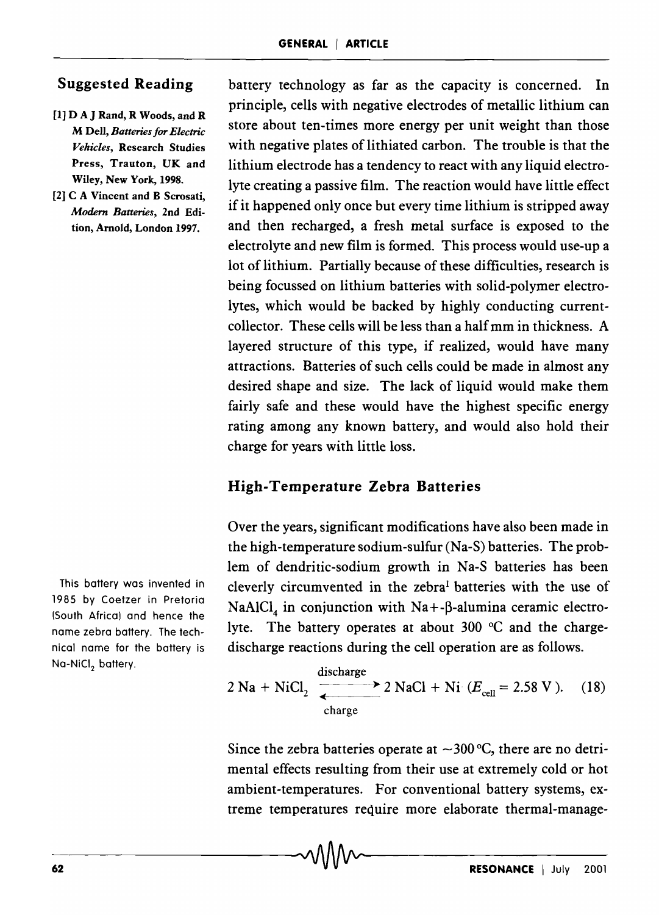### Suggested Reading

- [1] D A J Rand, R Woods, and R M Dell, *Baueries for Electric Vehicles,* Research Studies Press, Trauton, UK and Wiley, New York, 1998.
- [2] C A Vincent and B Scrosati, *Modern Batteries*, 2nd Edition, Arnold, London 1997.

This battery was invented in 1985 by Coetzer in Pretoria (South Africa) and hence the name zebra battery. The technical name for the battery is Na-NiCl<sub>2</sub> battery.

battery technology as far as the capacity is concerned. In principle, cells with negative electrodes of metallic lithium can store about ten-times more energy per unit weight than those with negative plates of lithiated carbon. The trouble is that the lithium electrode has a tendency to react with any liquid electrolyte creating a passive film. The reaction would have little effect if it happened only once but every time lithium is stripped away and then recharged, a fresh metal surface is exposed to the electrolyte and new film is formed. This process would use-up a lot of lithium. Partially because of these difficulties, research is being focussed on lithium batteries with solid-polymer electrolytes, which would be backed by highly conducting currentcollector. These cells will be less than a half mm in thickness. A layered structure of this type, if realized, would have many attractions. Batteries of such cells could be made in almost any desired shape and size. The lack of liquid would make them fairly safe and these would have the highest specific energy rating among any known battery, and would also hold their charge for years with little loss.

#### High-Temperature Zebra Batteries

Over the years, significant modifications have also been made in the high-temperature sodium-sulfur (Na-S) batteries. The problem of dendritic-sodium growth in Na-S batteries has been cleverly circumvented in the zebra<sup>l</sup> batteries with the use of  $NaAlCl<sub>4</sub>$  in conjunction with Na+- $\beta$ -alumina ceramic electrolyte. The battery operates at about 300 °C and the chargedischarge reactions during the cell operation are as follows.

$$
2 Na + NiCl2 \xrightarrow{\text{discharge}} 2 NaCl + Ni (Ecell = 2.58 V). \quad (18)
$$
charge

Since the zebra batteries operate at  $\sim$ 300 °C, there are no detrimental effects resulting from their use at extremely cold or hot ambient-temperatures. For conventional battery systems, extreme temperatures require more elaborate thermal-manage-